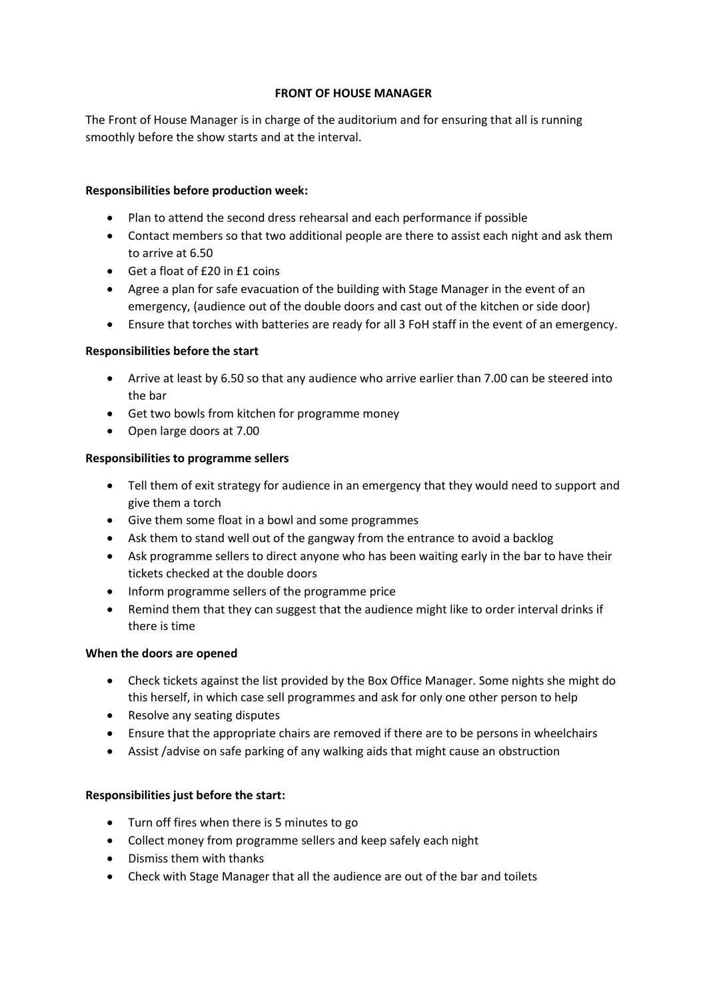#### **FRONT OF HOUSE MANAGER**

The Front of House Manager is in charge of the auditorium and for ensuring that all is running smoothly before the show starts and at the interval.

# **Responsibilities before production week:**

- Plan to attend the second dress rehearsal and each performance if possible
- Contact members so that two additional people are there to assist each night and ask them to arrive at 6.50
- Get a float of £20 in £1 coins
- Agree a plan for safe evacuation of the building with Stage Manager in the event of an emergency, (audience out of the double doors and cast out of the kitchen or side door)
- Ensure that torches with batteries are ready for all 3 FoH staff in the event of an emergency.

## **Responsibilities before the start**

- Arrive at least by 6.50 so that any audience who arrive earlier than 7.00 can be steered into the bar
- Get two bowls from kitchen for programme money
- Open large doors at 7.00

## **Responsibilities to programme sellers**

- Tell them of exit strategy for audience in an emergency that they would need to support and give them a torch
- Give them some float in a bowl and some programmes
- Ask them to stand well out of the gangway from the entrance to avoid a backlog
- Ask programme sellers to direct anyone who has been waiting early in the bar to have their tickets checked at the double doors
- Inform programme sellers of the programme price
- Remind them that they can suggest that the audience might like to order interval drinks if there is time

#### **When the doors are opened**

- Check tickets against the list provided by the Box Office Manager. Some nights she might do this herself, in which case sell programmes and ask for only one other person to help
- Resolve any seating disputes
- Ensure that the appropriate chairs are removed if there are to be persons in wheelchairs
- Assist /advise on safe parking of any walking aids that might cause an obstruction

# **Responsibilities just before the start:**

- Turn off fires when there is 5 minutes to go
- Collect money from programme sellers and keep safely each night
- Dismiss them with thanks
- Check with Stage Manager that all the audience are out of the bar and toilets